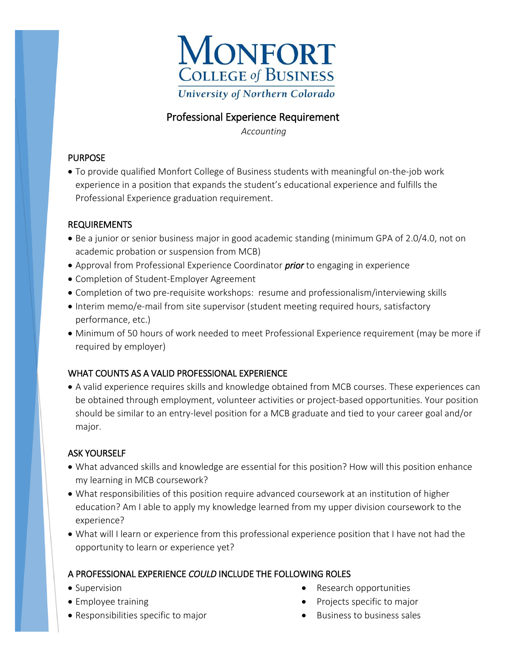

## Professional Experience Requirement

*Accounting*

### PURPOSE

 To provide qualified Monfort College of Business students with meaningful on-the-job work experience in a position that expands the student's educational experience and fulfills the Professional Experience graduation requirement.

### REQUIREMENTS

- Be a junior or senior business major in good academic standing (minimum GPA of 2.0/4.0, not on academic probation or suspension from MCB)
- Approval from Professional Experience Coordinator *prior* to engaging in experience
- Completion of Student-Employer Agreement
- Completion of two pre-requisite workshops: resume and professionalism/interviewing skills
- Interim memo/e-mail from site supervisor (student meeting required hours, satisfactory performance, etc.)
- Minimum of 50 hours of work needed to meet Professional Experience requirement (may be more if required by employer)

## WHAT COUNTS AS A VALID PROFESSIONAL EXPERIENCE

 A valid experience requires skills and knowledge obtained from MCB courses. These experiences can be obtained through employment, volunteer activities or project-based opportunities. Your position should be similar to an entry-level position for a MCB graduate and tied to your career goal and/or major.

## ASK YOURSELF

- What advanced skills and knowledge are essential for this position? How will this position enhance my learning in MCB coursework?
- What responsibilities of this position require advanced coursework at an institution of higher education? Am I able to apply my knowledge learned from my upper division coursework to the experience?
- What will I learn or experience from this professional experience position that I have not had the opportunity to learn or experience yet?

## A PROFESSIONAL EXPERIENCE *COULD* INCLUDE THE FOLLOWING ROLES

- Supervision
- Employee training
- Responsibilities specific to major
- Research opportunities
- Projects specific to major
- $\bullet$  Business to business sales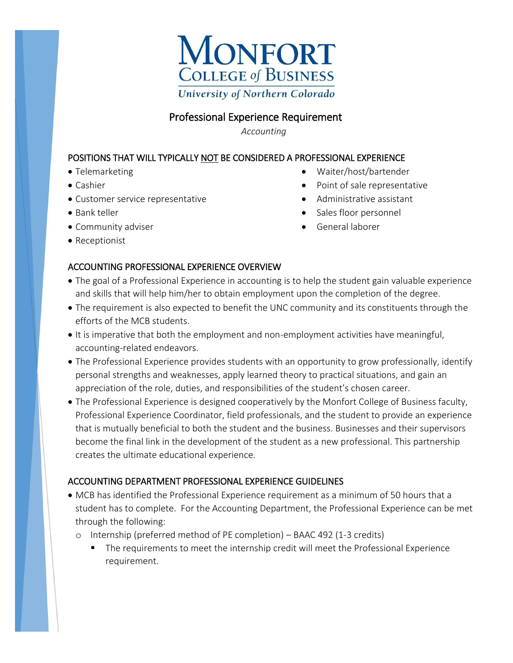

# Professional Experience Requirement

*Accounting*

### POSITIONS THAT WILL TYPICALLY NOT BE CONSIDERED A PROFESSIONAL EXPERIENCE

- Telemarketing
- Cashier
- Customer service representative
- Bank teller
- Community adviser
- Receptionist
- Waiter/host/bartender
- Point of sale representative
- Administrative assistant
- Sales floor personnel
- General laborer

### ACCOUNTING PROFESSIONAL EXPERIENCE OVERVIEW

- The goal of a Professional Experience in accounting is to help the student gain valuable experience and skills that will help him/her to obtain employment upon the completion of the degree.
- The requirement is also expected to benefit the UNC community and its constituents through the efforts of the MCB students.
- It is imperative that both the employment and non-employment activities have meaningful, accounting-related endeavors.
- The Professional Experience provides students with an opportunity to grow professionally, identify personal strengths and weaknesses, apply learned theory to practical situations, and gain an appreciation of the role, duties, and responsibilities of the student's chosen career.
- The Professional Experience is designed cooperatively by the Monfort College of Business faculty, Professional Experience Coordinator, field professionals, and the student to provide an experience that is mutually beneficial to both the student and the business. Businesses and their supervisors become the final link in the development of the student as a new professional. This partnership creates the ultimate educational experience.

#### ACCOUNTING DEPARTMENT PROFESSIONAL EXPERIENCE GUIDELINES

- MCB has identified the Professional Experience requirement as a minimum of 50 hours that a student has to complete. For the Accounting Department, the Professional Experience can be met through the following:
	- o Internship (preferred method of PE completion) BAAC 492 (1-3 credits)
		- **The requirements to meet the internship credit will meet the Professional Experience** requirement.